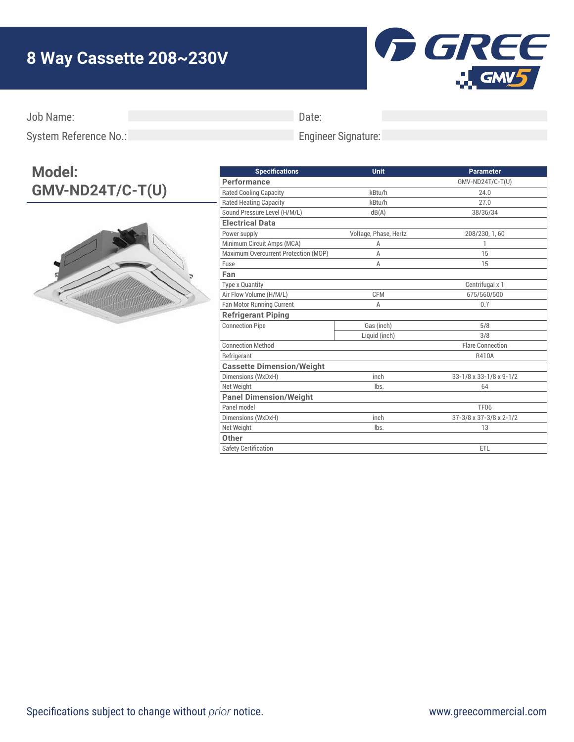## **8 Way Cassette 208~230V**



Job Name:

Date:

Engineer Signature:

System Reference No.:

## **Model: GMV-ND24T/C-T(U)**



| <b>Specifications</b>                | <b>Unit</b>           | <b>Parameter</b>        |
|--------------------------------------|-----------------------|-------------------------|
| Performance                          |                       | GMV-ND24T/C-T(U)        |
| <b>Rated Cooling Capacity</b>        | kBtu/h                | 24.0                    |
| <b>Rated Heating Capacity</b>        | kBtu/h                | 27.0                    |
| Sound Pressure Level (H/M/L)         | dB(A)                 | 38/36/34                |
| <b>Electrical Data</b>               |                       |                         |
| Power supply                         | Voltage, Phase, Hertz | 208/230, 1, 60          |
| Minimum Circuit Amps (MCA)           | A                     | 1                       |
| Maximum Overcurrent Protection (MOP) | A                     | 15                      |
| Fuse                                 | A                     | 15                      |
| Fan                                  |                       |                         |
| <b>Type x Quantity</b>               |                       | Centrifugal x 1         |
| Air Flow Volume (H/M/L)              | <b>CFM</b>            | 675/560/500             |
| Fan Motor Running Current            | A                     | 0.7                     |
| <b>Refrigerant Piping</b>            |                       |                         |
| <b>Connection Pipe</b>               | Gas (inch)            | 5/8                     |
|                                      | Liquid (inch)         | 3/8                     |
| <b>Connection Method</b>             |                       | <b>Flare Connection</b> |
| Refrigerant                          |                       | R410A                   |
| <b>Cassette Dimension/Weight</b>     |                       |                         |
| Dimensions (WxDxH)                   | inch                  | 33-1/8 x 33-1/8 x 9-1/2 |
| Net Weight                           | lbs.                  | 64                      |
| <b>Panel Dimension/Weight</b>        |                       |                         |
| Panel model                          |                       | <b>TF06</b>             |
| Dimensions (WxDxH)                   | inch                  | 37-3/8 x 37-3/8 x 2-1/2 |
| Net Weight                           | lbs.                  | 13                      |
| Other                                |                       |                         |
| <b>Safety Certification</b>          |                       | ETL                     |